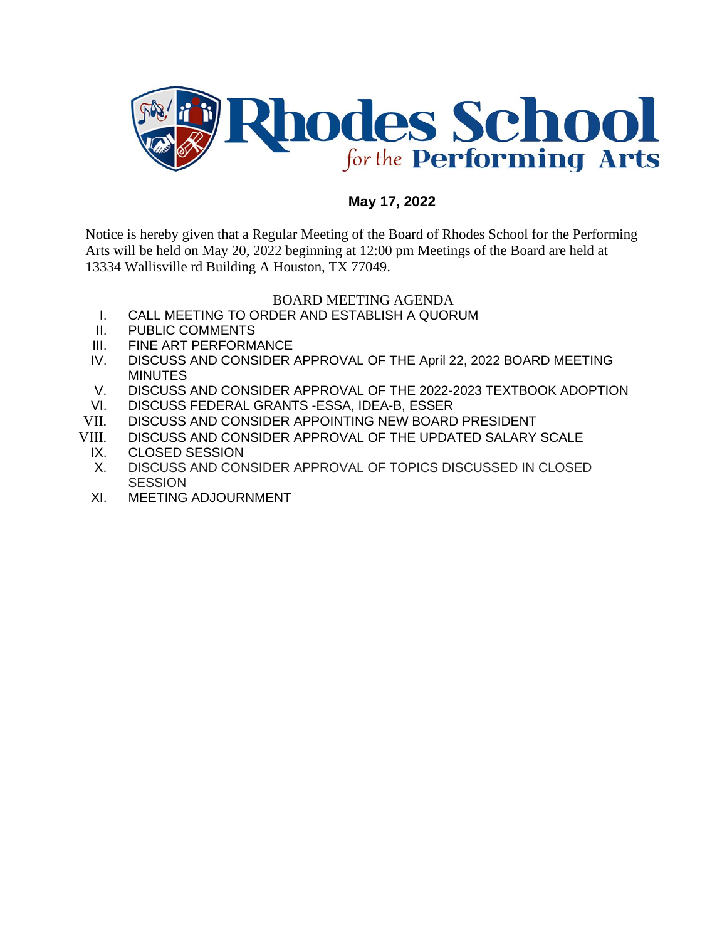

## **May 17, 2022**

Notice is hereby given that a Regular Meeting of the Board of Rhodes School for the Performing Arts will be held on May 20, 2022 beginning at 12:00 pm Meetings of the Board are held at 13334 Wallisville rd Building A Houston, TX 77049.

## BOARD MEETING AGENDA

- I. CALL MEETING TO ORDER AND ESTABLISH A QUORUM
- II. PUBLIC COMMENTS
- III. FINE ART PERFORMANCE
- IV. DISCUSS AND CONSIDER APPROVAL OF THE April 22, 2022 BOARD MEETING **MINUTES**
- V. DISCUSS AND CONSIDER APPROVAL OF THE 2022-2023 TEXTBOOK ADOPTION
- VI. DISCUSS FEDERAL GRANTS -ESSA, IDEA-B, ESSER
- VII. DISCUSS AND CONSIDER APPOINTING NEW BOARD PRESIDENT
- VIII. DISCUSS AND CONSIDER APPROVAL OF THE UPDATED SALARY SCALE
	- IX. CLOSED SESSION
	- X. DISCUSS AND CONSIDER APPROVAL OF TOPICS DISCUSSED IN CLOSED **SESSION**
	- XI. MEETING ADJOURNMENT